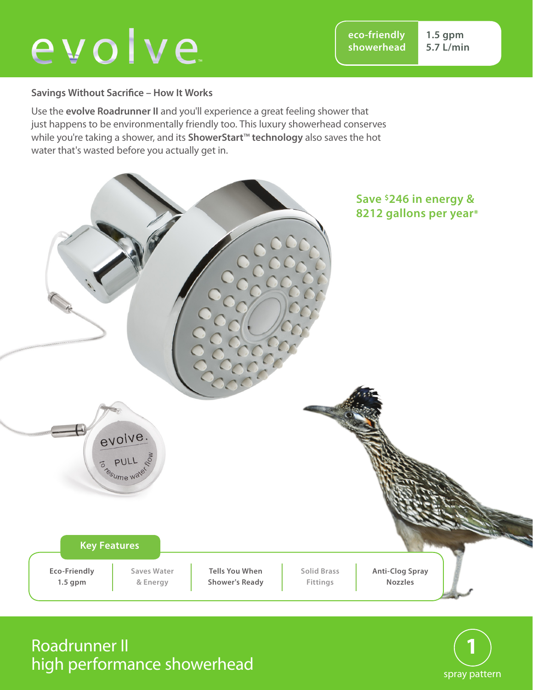# evolve

**eco-friendly showerhead** **1.5 gpm 5.7 L/min**

#### **Savings Without Sacrifice – How It Works**

Use the **evolve Roadrunner II** and you'll experience a great feeling shower that just happens to be environmentally friendly too. This luxury showerhead conserves while you're taking a shower, and its **ShowerStart**™ **technology** also saves the hot water that's wasted before you actually get in.



## Roadrunner II high performance showerhead